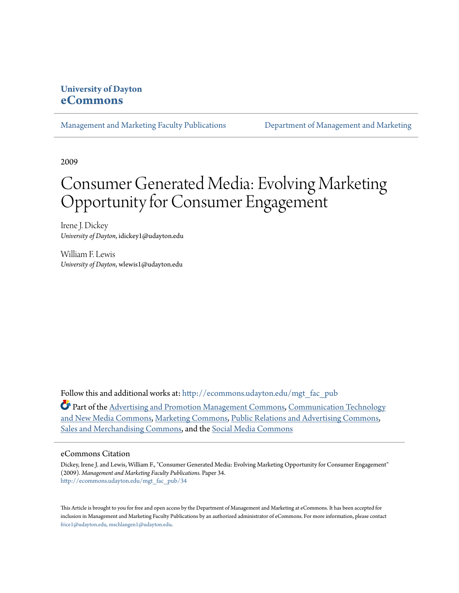### **University of Dayton [eCommons](http://ecommons.udayton.edu?utm_source=ecommons.udayton.edu%2Fmgt_fac_pub%2F34&utm_medium=PDF&utm_campaign=PDFCoverPages)**

[Management and Marketing Faculty Publications](http://ecommons.udayton.edu/mgt_fac_pub?utm_source=ecommons.udayton.edu%2Fmgt_fac_pub%2F34&utm_medium=PDF&utm_campaign=PDFCoverPages) [Department of Management and Marketing](http://ecommons.udayton.edu/mgt?utm_source=ecommons.udayton.edu%2Fmgt_fac_pub%2F34&utm_medium=PDF&utm_campaign=PDFCoverPages)

2009

# Consumer Generated Media: Evolving Marketing Opportunity for Consumer Engagement

Irene J. Dickey *University of Dayton*, idickey1@udayton.edu

William F. Lewis *University of Dayton*, wlewis1@udayton.edu

Follow this and additional works at: [http://ecommons.udayton.edu/mgt\\_fac\\_pub](http://ecommons.udayton.edu/mgt_fac_pub?utm_source=ecommons.udayton.edu%2Fmgt_fac_pub%2F34&utm_medium=PDF&utm_campaign=PDFCoverPages)

Part of the [Advertising and Promotion Management Commons,](http://network.bepress.com/hgg/discipline/626?utm_source=ecommons.udayton.edu%2Fmgt_fac_pub%2F34&utm_medium=PDF&utm_campaign=PDFCoverPages) [Communication Technology](http://network.bepress.com/hgg/discipline/327?utm_source=ecommons.udayton.edu%2Fmgt_fac_pub%2F34&utm_medium=PDF&utm_campaign=PDFCoverPages) [and New Media Commons](http://network.bepress.com/hgg/discipline/327?utm_source=ecommons.udayton.edu%2Fmgt_fac_pub%2F34&utm_medium=PDF&utm_campaign=PDFCoverPages), [Marketing Commons,](http://network.bepress.com/hgg/discipline/638?utm_source=ecommons.udayton.edu%2Fmgt_fac_pub%2F34&utm_medium=PDF&utm_campaign=PDFCoverPages) [Public Relations and Advertising Commons](http://network.bepress.com/hgg/discipline/336?utm_source=ecommons.udayton.edu%2Fmgt_fac_pub%2F34&utm_medium=PDF&utm_campaign=PDFCoverPages), [Sales and Merchandising Commons](http://network.bepress.com/hgg/discipline/646?utm_source=ecommons.udayton.edu%2Fmgt_fac_pub%2F34&utm_medium=PDF&utm_campaign=PDFCoverPages), and the [Social Media Commons](http://network.bepress.com/hgg/discipline/1249?utm_source=ecommons.udayton.edu%2Fmgt_fac_pub%2F34&utm_medium=PDF&utm_campaign=PDFCoverPages)

#### eCommons Citation

Dickey, Irene J. and Lewis, William F., "Consumer Generated Media: Evolving Marketing Opportunity for Consumer Engagement" (2009). *Management and Marketing Faculty Publications.* Paper 34. [http://ecommons.udayton.edu/mgt\\_fac\\_pub/34](http://ecommons.udayton.edu/mgt_fac_pub/34?utm_source=ecommons.udayton.edu%2Fmgt_fac_pub%2F34&utm_medium=PDF&utm_campaign=PDFCoverPages)

This Article is brought to you for free and open access by the Department of Management and Marketing at eCommons. It has been accepted for inclusion in Management and Marketing Faculty Publications by an authorized administrator of eCommons. For more information, please contact [frice1@udayton.edu, mschlangen1@udayton.edu.](mailto:frice1@udayton.edu,%20mschlangen1@udayton.edu)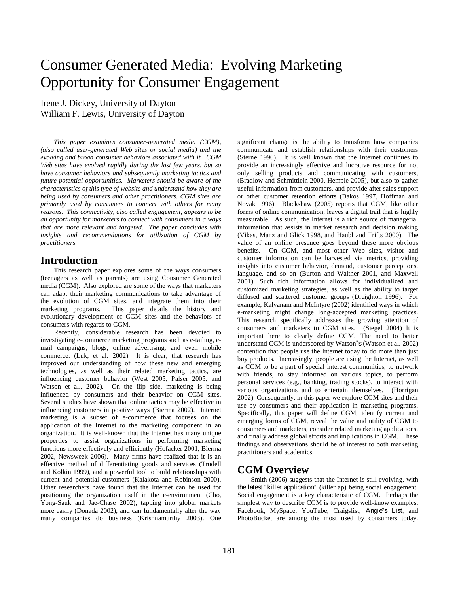## Consumer Generated Media: Evolving Marketing Opportunity for Consumer Engagement

Irene J. Dickey, University of Dayton William F. Lewis, University of Dayton

*This paper examines consumer-generated media (CGM), (also called user-generated Web sites or social media) and the evolving and broad consumer behaviors associated with it. CGM Web sites have evolved rapidly during the last few years, but so have consumer behaviors and subsequently marketing tactics and future potential opportunities. Marketers should be aware of the characteristics of this type of website and understand how they are being used by consumers and other practitioners. CGM sites are primarily used by consumers to connect with others for many reasons. This connectivity, also called engagement, appears to be an opportunity for marketers to connect with consumers in a ways that are more relevant and targeted. The paper concludes with insights and recommendations for utilization of CGM by practitioners.* 

#### **Introduction**

This research paper explores some of the ways consumers (teenagers as well as parents) are using Consumer Generated media (CGM). Also explored are some of the ways that marketers can adapt their marketing communications to take advantage of the evolution of CGM sites, and integrate them into their marketing programs. This paper details the history and evolutionary development of CGM sites and the behaviors of consumers with regards to CGM.

Recently, considerable research has been devoted to investigating e-commerce marketing programs such as e-tailing, email campaigns, blogs, online advertising, and even mobile commerce. (Luk, et al. 2002) It is clear, that research has improved our understanding of how these new and emerging technologies, as well as their related marketing tactics, are influencing customer behavior (West 2005, Palser 2005, and Watson et al., 2002). On the flip side, marketing is being influenced by consumers and their behavior on CGM sites. Several studies have shown that online tactics may be effective in influencing customers in positive ways (Bierma 2002). Internet marketing is a subset of e-commerce that focuses on the application of the Internet to the marketing component in an organization. It is well-known that the Internet has many unique properties to assist organizations in performing marketing functions more effectively and efficiently (Hofacker 2001, Bierma 2002, Newsweek 2006). Many firms have realized that it is an effective method of differentiating goods and services (Trudell and Kolkin 1999), and a powerful tool to build relationships with current and potential customers (Kalakota and Robinson 2000). Other researchers have found that the Internet can be used for positioning the organization itself in the e-environment (Cho, Yong-Sauk and Jae-Chase 2002), tapping into global markets more easily (Donada 2002), and can fundamentally alter the way many companies do business (Krishnamurthy 2003). One

significant change is the ability to transform how companies communicate and establish relationships with their customers (Sterne 1996). It is well known that the Internet continues to provide an increasingly effective and lucrative resource for not only selling products and communicating with customers, (Bradlow and Schmittlein 2000, Hemple 2005), but also to gather useful information from customers, and provide after sales support or other customer retention efforts (Bakos 1997, Hoffman and Novak 1996). Blackshaw (2005) reports that CGM, like other forms of online communication, leaves a digital trail that is highly measurable. As such, the Internet is a rich source of managerial information that assists in market research and decision making (Vikas, Manz and Glick 1998, and Haubl and Trifts 2000). The value of an online presence goes beyond these more obvious benefits. On CGM, and most other Web sites, visitor and customer information can be harvested via metrics, providing insights into customer behavior, demand, customer perceptions, language, and so on (Burton and Walther 2001, and Maxwell 2001). Such rich information allows for individualized and customized marketing strategies, as well as the ability to target diffused and scattered customer groups (Dreighton 1996). For example, Kalyanam and McIntyre (2002) identified ways in which e-marketing might change long-accepted marketing practices. This research specifically addresses the growing attention of consumers and marketers to CGM sites. (Siegel 2004) It is important here to clearly define CGM. The need to better understand CGM is underscored by Watson"s (Watson et al. 2002) contention that people use the Internet today to do more than just buy products. Increasingly, people are using the Internet, as well as CGM to be a part of special interest communities, to network with friends, to stay informed on various topics, to perform personal services (e.g., banking, trading stocks), to interact with various organizations and to entertain themselves. (Horrigan 2002) Consequently, in this paper we explore CGM sites and their use by consumers and their application in marketing programs. Specifically, this paper will define CGM, identify current and emerging forms of CGM, reveal the value and utility of CGM to consumers and marketers, consider related marketing applications, and finally address global efforts and implications in CGM. These findings and observations should be of interest to both marketing practitioners and academics.

#### **CGM Overview**

Smith (2006) suggests that the Internet is still evolving, with the latest "killer application" (killer ap) being social engagement. Social engagement is a key characteristic of CGM. Perhaps the simplest way to describe CGM is to provide well-know examples. Facebook, MySpace, YouTube, Craigslist, Angie"s List, and PhotoBucket are among the most used by consumers today.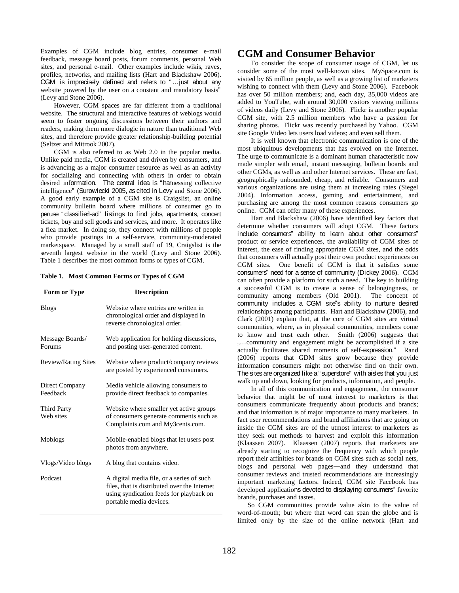Examples of CGM include blog entries, consumer e-mail feedback, message board posts, forum comments, personal Web sites, and personal e-mail. Other examples include wikis, raves, profiles, networks, and mailing lists (Hart and Blackshaw 2006). CGM is imprecisely defined and refers to "…just about any website powered by the user on a constant and mandatory basis" (Levy and Stone 2006).

However, CGM spaces are far different from a traditional website. The structural and interactive features of weblogs would seem to foster ongoing discussions between their authors and readers, making them more dialogic in nature than traditional Web sites, and therefore provide greater relationship-building potential (Seltzer and Mitrook 2007).

CGM is also referred to as Web 2.0 in the popular media. Unlike paid media, CGM is created and driven by consumers, and is advancing as a major consumer resource as well as an activity for socializing and connecting with others in order to obtain desired information. The central idea is "harnessing collective intelligence" (Surowiecki 2005, as cited in Levy and Stone 2006). A good early example of a CGM site is Craigslist, an online community bulletin board where millions of consumer go to peruse "classified-ad" listings to find jobs, apartments, concert tickets, buy and sell goods and services, and more. It operates like a flea market. In doing so, they connect with millions of people who provide postings in a self-service, community-moderated marketspace. Managed by a small staff of 19, Craigslist is the seventh largest website in the world (Levy and Stone 2006). Table 1 describes the most common forms or types of CGM.

**Table 1. Most Common Forms or Types of CGM**

| <b>Form or Type</b>        | <b>Description</b>                                                                                                                                              |
|----------------------------|-----------------------------------------------------------------------------------------------------------------------------------------------------------------|
| <b>Blogs</b>               | Website where entries are written in<br>chronological order and displayed in<br>reverse chronological order.                                                    |
| Message Boards/<br>Forums  | Web application for holding discussions,<br>and posting user-generated content.                                                                                 |
| <b>Review/Rating Sites</b> | Website where product/company reviews<br>are posted by experienced consumers.                                                                                   |
| Direct Company<br>Feedback | Media vehicle allowing consumers to<br>provide direct feedback to companies.                                                                                    |
| Third Party<br>Web sites   | Website where smaller yet active groups<br>of consumers generate comments such as<br>Complaints.com and My3cents.com.                                           |
| Moblogs                    | Mobile-enabled blogs that let users post<br>photos from anywhere.                                                                                               |
| Vlogs/Video blogs          | A blog that contains video.                                                                                                                                     |
| Podcast                    | A digital media file, or a series of such<br>files, that is distributed over the Internet<br>using syndication feeds for playback on<br>portable media devices. |

#### **CGM and Consumer Behavior**

To consider the scope of consumer usage of CGM, let us consider some of the most well-known sites. MySpace.com is visited by 65 million people, as well as a growing list of marketers wishing to connect with them (Levy and Stone 2006). Facebook has over 50 million members; and, each day, 35,000 videos are added to YouTube, with around 30,000 visitors viewing millions of videos daily (Levy and Stone 2006). Flickr is another popular CGM site, with 2.5 million members who have a passion for sharing photos. Flickr was recently purchased by Yahoo. CGM site Google Video lets users load videos; and even sell them.

It is well known that electronic communication is one of the most ubiquitous developments that has evolved on the Internet. The urge to communicate is a dominant human characteristic now made simpler with email, instant messaging, bulletin boards and other CGMs, as well as and other Internet services. These are fast, geographically unbounded, cheap, and reliable. Consumers and various organizations are using them at increasing rates (Siegel 2004). Information access, gaming and entertainment, and purchasing are among the most common reasons consumers go online. CGM can offer many of these experiences.

Hart and Blackshaw (2006) have identified key factors that determine whether consumers will adopt CGM. These factors include consumers" ability to learn about other consumers" product or service experiences, the availability of CGM sites of interest, the ease of finding appropriate CGM sites, and the odds that consumers will actually post their own product experiences on CGM sites. One benefit of GCM is that it satisfies some consumers" need for a sense of community (Dickey 2006). CGM can often provide a platform for such a need. The key to building a successful CGM is to create a sense of belongingness, or community among members (Old 2001). The concept of community includes a CGM site"s ability to nurture desired relationships among participants. Hart and Blackshaw (2006), and Clark (2001) explain that, at the core of CGM sites are virtual communities, where, as in physical communities, members come to know and trust each other. Smith (2006) suggests that "…community and engagement might be accomplished if a site actually facilitates shared moments of self-expression." Rand (2006) reports that GDM sites grow because they provide information consumers might not otherwise find on their own. The sites are organized like a "superstore" with aisles that you just walk up and down, looking for products, information, and people.

In all of this communication and engagement, the consumer behavior that might be of most interest to marketers is that consumers communicate frequently about products and brands; and that information is of major importance to many marketers. In fact user recommendations and brand affiliations that are going on inside the CGM sites are of the utmost interest to marketers as they seek out methods to harvest and exploit this information (Klaassen 2007). Klaassen (2007) reports that marketers are already starting to recognize the frequency with which people report their affinities for brands on CGM sites such as social nets, blogs and personal web pages—and they understand that consumer reviews and trusted recommendations are increasingly important marketing factors. Indeed, CGM site Facebook has developed applications devoted to displaying consumers" favorite brands, purchases and tastes.

So CGM communities provide value akin to the value of word-of-mouth; but where that word can span the globe and is limited only by the size of the online network (Hart and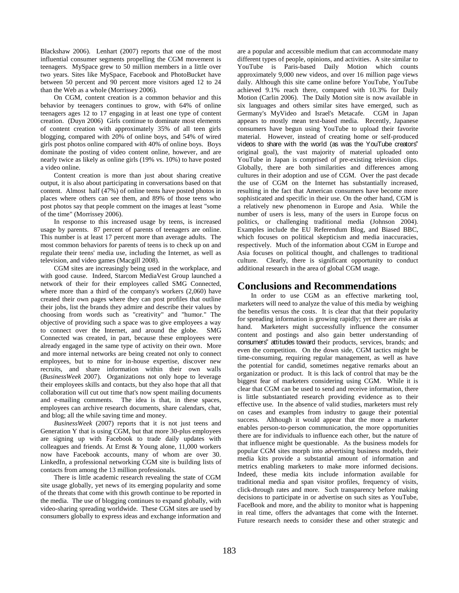Blackshaw 2006). Lenhart (2007) reports that one of the most influential consumer segments propelling the CGM movement is teenagers. MySpace grew to 50 million members in a little over two years. Sites like MySpace, Facebook and PhotoBucket have between 50 percent and 90 percent more visitors aged 12 to 24 than the Web as a whole (Morrissey 2006).

On CGM, content creation is a common behavior and this behavior by teenagers continues to grow, with 64% of online teenagers ages 12 to 17 engaging in at least one type of content creation. (Duyn 2006) Girls continue to dominate most elements of content creation with approximately 35% of all teen girls blogging, compared with 20% of online boys, and 54% of wired girls post photos online compared with 40% of online boys. Boys dominate the posting of video content online, however, and are nearly twice as likely as online girls (19% vs. 10%) to have posted a video online.

Content creation is more than just about sharing creative output, it is also about participating in conversations based on that content. Almost half (47%) of online teens have posted photos in places where others can see them, and 89% of those teens who post photos say that people comment on the images at least "some of the time" (Morrissey 2006).

In response to this increased usage by teens, is increased usage by parents. 87 percent of parents of teenagers are online. This number is at least 17 percent more than average adults. The most common behaviors for parents of teens is to check up on and regulate their teens' media use, including the Internet, as well as television, and video games (Macgill 2008).

CGM sites are increasingly being used in the workplace, and with good cause. Indeed, Starcom MediaVest Group launched a network of their for their employees called SMG Connected, where more than a third of the company's workers (2,060) have created their own pages where they can post profiles that outline their jobs, list the brands they admire and describe their values by choosing from words such as "creativity" and "humor." The objective of providing such a space was to give employees a way to connect over the Internet, and around the globe. SMG Connected was created, in part, because these employees were already engaged in the same type of activity on their own. More and more internal networks are being created not only to connect employees, but to mine for in-house expertise, discover new recruits, and share information within their own walls (*BusinessWeek* 2007). Organizations not only hope to leverage their employees skills and contacts, but they also hope that all that collaboration will cut out time that's now spent mailing documents and e-mailing comments. The idea is that, in these spaces, employees can archive research documents, share calendars, chat, and blog; all the while saving time and money.

*BusinessWeek* (2007) reports that it is not just teens and Generation Y that is using CGM, but that more 30-plus employees are signing up with Facebook to trade daily updates with colleagues and friends. At Ernst & Young alone, 11,000 workers now have Facebook accounts, many of whom are over 30. LinkedIn, a professional networking CGM site is building lists of contacts from among the 13 million professionals.

There is little academic research revealing the state of CGM site usage globally, yet news of its emerging popularity and some of the threats that come with this growth continue to be reported in the media. The use of blogging continues to expand globally, with video-sharing spreading worldwide. These CGM sites are used by consumers globally to express ideas and exchange information and

are a popular and accessible medium that can accommodate many different types of people, opinions, and activities. A site similar to YouTube is Paris-based Daily Motion which counts approximately 9,000 new videos, and over 16 million page views daily. Although this site came online before YouTube, YouTube achieved 9.1% reach there, compared with 10.3% for Daily Motion (Carlin 2006). The Daily Motion site is now available in six languages and others similar sites have emerged, such as Germany's MyVideo and Israel's Metacafe. CGM in Japan appears to mostly mean text-based media. Recently, Japanese consumers have begun using YouTube to upload their favorite material. However, instead of creating home or self-produced videos to share with the world (as was the YouTube creators" original goal), the vast majority of material uploaded onto YouTube in Japan is comprised of pre-existing television clips. Globally, there are both similarities and differences among cultures in their adoption and use of CGM. Over the past decade the use of CGM on the Internet has substantially increased, resulting in the fact that American consumers have become more sophisticated and specific in their use. On the other hand, CGM is a relatively new phenomenon in Europe and Asia. While the number of users is less, many of the users in Europe focus on politics, or challenging traditional media (Johnson 2004). Examples include the EU Referendum Blog, and Biased BBC, which focuses on political skepticism and media inaccuracies, respectively. Much of the information about CGM in Europe and Asia focuses on political thought, and challenges to traditional culture. Clearly, there is significant opportunity to conduct additional research in the area of global CGM usage.

#### **Conclusions and Recommendations**

In order to use CGM as an effective marketing tool, marketers will need to analyze the value of this media by weighing the benefits versus the costs. It is clear that that their popularity for spreading information is growing rapidly; yet there are risks at hand. Marketers might successfully influence the consumer content and postings and also gain better understanding of consumers" attitudes toward their products, services, brands; and even the competition. On the down side, CGM tactics might be time-consuming, requiring regular management, as well as have the potential for candid, sometimes negative remarks about an organization or product. It is this lack of control that may be the biggest fear of marketers considering using CGM. While it is clear that CGM can be used to send and receive information, there is little substantiated research providing evidence as to their effective use. In the absence of valid studies, marketers must rely on cases and examples from industry to gauge their potential success. Although it would appear that the more a marketer enables person-to-person communication, the more opportunities there are for individuals to influence each other, but the nature of that influence might be questionable. As the business models for popular CGM sites morph into advertising business models, their media kits provide a substantial amount of information and metrics enabling marketers to make more informed decisions. Indeed, these media kits include information available for traditional media and span visitor profiles, frequency of visits, click-through rates and more. Such transparency before making decisions to participate in or advertise on such sites as YouTube, FaceBook and more, and the ability to monitor what is happening in real time, offers the advantages that come with the Internet. Future research needs to consider these and other strategic and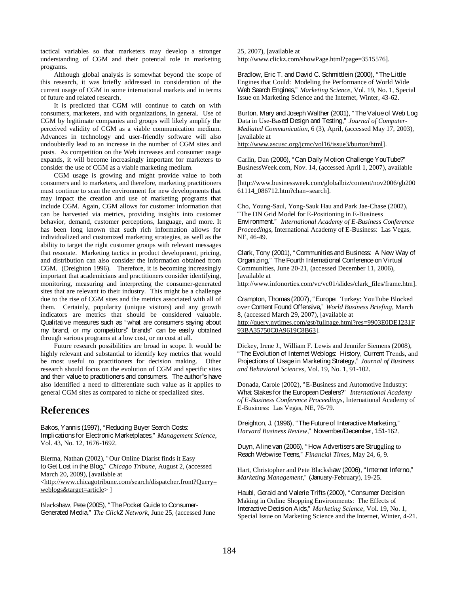tactical variables so that marketers may develop a stronger understanding of CGM and their potential role in marketing programs.

Although global analysis is somewhat beyond the scope of this research, it was briefly addressed in consideration of the current usage of CGM in some international markets and in terms of future and related research.

It is predicted that CGM will continue to catch on with consumers, marketers, and with organizations, in general. Use of CGM by legitimate companies and groups will likely amplify the perceived validity of CGM as a viable communication medium. Advances in technology and user-friendly software will also undoubtedly lead to an increase in the number of CGM sites and posts. As competition on the Web increases and consumer usage expands, it will become increasingly important for marketers to consider the use of CGM as a viable marketing medium.

CGM usage is growing and might provide value to both consumers and to marketers, and therefore, marketing practitioners must continue to scan the environment for new developments that may impact the creation and use of marketing programs that include CGM. Again, CGM allows for customer information that can be harvested via metrics, providing insights into customer behavior, demand, customer perceptions, language, and more. It has been long known that such rich information allows for individualized and customized marketing strategies, as well as the ability to target the right customer groups with relevant messages that resonate. Marketing tactics in product development, pricing, and distribution can also consider the information obtained from CGM. (Dreighton 1996). Therefore, it is becoming increasingly important that academicians and practitioners consider identifying, monitoring, measuring and interpreting the consumer-generated sites that are relevant to their industry. This might be a challenge due to the rise of CGM sites and the metrics associated with all of them. Certainly, popularity (unique visitors) and any growth indicators are metrics that should be considered valuable. Qualitative measures such as "what are consumers saying about my brand, or my competitors" brands" can be easily obtained through various programs at a low cost, or no cost at all.

Future research possibilities are broad in scope. It would be highly relevant and substantial to identify key metrics that would be most useful to practitioners for decision making. Other research should focus on the evolution of CGM and specific sites and their value to practitioners and consumers. The author"s have also identified a need to differentiate such value as it applies to general CGM sites as compared to niche or specialized sites.

#### **References**

Bakos, Yannis (1997), "Reducing Buyer Search Costs: Implications for Electronic Marketplaces," *Management Science*, Vol. 43, No. 12, 1676-1692.

Bierma, Nathan (2002), "Our Online Diarist finds it Easy to Get Lost in the Blog," *Chicago Tribune*, August 2, (accessed March 20, 2009), [available at <http://www.chicagotribune.com/search/dispatcher.front?Query= weblogs&target=article> ]

Blackshaw, Pete (2005), "The Pocket Guide to Consumer-Generated Media," *The ClickZ Network*, June 25, (accessed June 25, 2007), [available at http://www.clickz.com/showPage.html?page=3515576].

Bradlow, Eric T. and David C. Schmittlein (2000), "The Little Engines that Could: Modeling the Performance of World Wide Web Search Engines," *Marketing Science*, Vol. 19, No. 1, Special Issue on Marketing Science and the Internet, Winter, 43-62.

Burton, Mary and Joseph Walther (2001), "The Value of Web Log Data in Use-Based Design and Testing," *Journal of Computer-Mediated Communication*, 6 (3), April, (accessed May 17, 2003), [available at

http://www.ascusc.org/jcmc/vol16/issue3/burton/html].

Carlin, Dan (2006), "Can Daily Motion Challenge YouTube?" BusinessWeek.com, Nov. 14, (accessed April 1, 2007), available at

[http://www.businessweek.com/globalbiz/content/nov2006/gb200 61114\_086712.htm?chan=search].

Cho, Young-Saul, Yong-Sauk Hau and Park Jae-Chase (2002), "The DN Grid Model for E-Positioning in E-Business Environment." *International Academy of E-Business Conference Proceedings,* International Academy of E-Business: Las Vegas, NE, 46-49.

Clark, Tony (2001), "Communities and Business: A New Way of Organizing," The Fourth International Conference on Virtual Communities, June 20-21, (accessed December 11, 2006), [available at

http://www.infonorties.com/vc/vc01/slides/clark\_files/frame.htm].

Crampton, Thomas (2007), "Europe: Turkey: YouTube Blocked over Content Found Offensive," *World Business Briefing*, March 8, (accessed March 29, 2007), [available at http://query.nytimes.com/gst/fullpage.html?res=9903E0DE1231F 93BA35750C0A9619C8B63].

Dickey, Irene J., William F. Lewis and Jennifer Siemens (2008), "The Evolution of Internet Weblogs: History, Current Trends, and Projections of Usage in Marketing Strategy," *Journal of Business and Behavioral Sciences*, Vol. 19, No. 1, 91-102.

Donada, Carole (2002), "E-Business and Automotive Industry: What Stakes for the European Dealers?" *International Academy of E-Business Conference Proceedings*, International Academy of E-Business: Las Vegas, NE, 76-79.

Dreighton, J. (1996), "The Future of Interactive Marketing," *Harvard Business Review*," November/December, 151-162.

Duyn, Aline van (2006), "How Advertisers are Struggling to Reach Webwise Teens," *Financial Times*, May 24, 6, 9.

Hart, Christopher and Pete Blackshaw (2006), "Internet Inferno," *Marketing Management*," (January-February), 19-25.

Haubl, Gerald and Valerie Trifts (2000), "Consumer Decision Making in Online Shopping Environments: The Effects of Interactive Decision Aids," *Marketing Science*, Vol. 19, No. 1, Special Issue on Marketing Science and the Internet, Winter, 4-21.